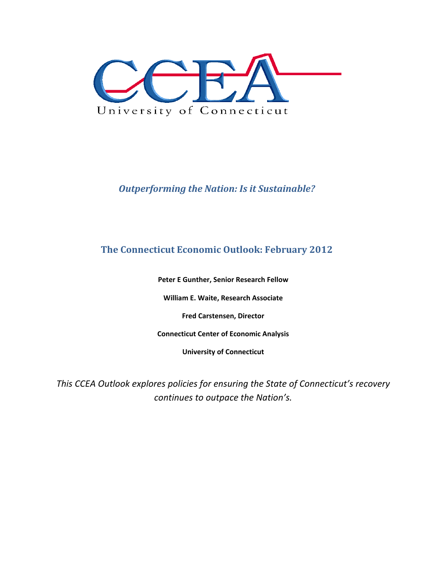

## *Outperforming the Nation: Is it Sustainable?*

## **The Connecticut Economic Outlook: February 2012**

**Peter E Gunther, Senior Research Fellow**

**William E. Waite, Research Associate**

**Fred Carstensen, Director**

**Connecticut Center of Economic Analysis**

**University of Connecticut**

*This CCEA Outlook explores policies for ensuring the State of Connecticut's recovery continues to outpace the Nation's.*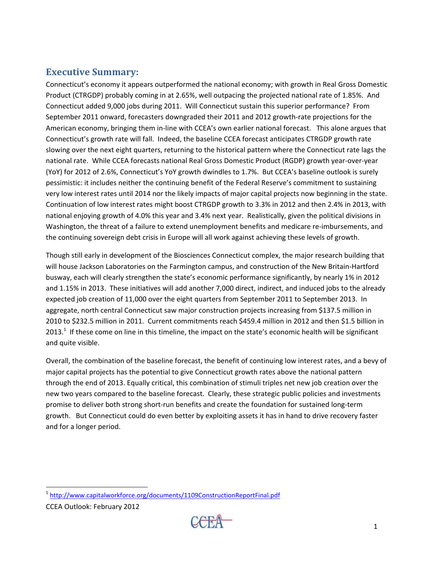#### **Executive Summary:**

Connecticut's economy it appears outperformed the national economy; with growth in Real Gross Domestic Product (CTRGDP) probably coming in at 2.65%, well outpacing the projected national rate of 1.85%. And Connecticut added 9,000 jobs during 2011. Will Connecticut sustain this superior performance? From September 2011 onward, forecasters downgraded their 2011 and 2012 growth‐rate projections for the American economy, bringing them in‐line with CCEA's own earlier national forecast. This alone argues that Connecticut's growth rate will fall. Indeed, the baseline CCEA forecast anticipates CTRGDP growth rate slowing over the next eight quarters, returning to the historical pattern where the Connecticut rate lags the national rate. While CCEA forecasts national Real Gross Domestic Product (RGDP) growth year‐over‐year (YoY) for 2012 of 2.6%, Connecticut's YoY growth dwindles to 1.7%. But CCEA's baseline outlook is surely pessimistic: it includes neither the continuing benefit of the Federal Reserve's commitment to sustaining very low interest rates until 2014 nor the likely impacts of major capital projects now beginning in the state. Continuation of low interest rates might boost CTRGDP growth to 3.3% in 2012 and then 2.4% in 2013, with national enjoying growth of 4.0% this year and 3.4% next year. Realistically, given the political divisions in Washington, the threat of a failure to extend unemployment benefits and medicare re-imbursements, and the continuing sovereign debt crisis in Europe will all work against achieving these levels of growth.

Though still early in development of the Biosciences Connecticut complex, the major research building that will house Jackson Laboratories on the Farmington campus, and construction of the New Britain‐Hartford busway, each will clearly strengthen the state's economic performance significantly, by nearly 1% in 2012 and 1.15% in 2013. These initiatives will add another 7,000 direct, indirect, and induced jobs to the already expected job creation of 11,000 over the eight quarters from September 2011 to September 2013. In aggregate, north central Connecticut saw major construction projects increasing from \$137.5 million in 2010 to \$232.5 million in 2011. Current commitments reach \$459.4 million in 2012 and then \$1.5 billion in 2013.<sup>1</sup> If these come on line in this timeline, the impact on the state's economic health will be significant and quite visible.

Overall, the combination of the baseline forecast, the benefit of continuing low interest rates, and a bevy of major capital projects has the potential to give Connecticut growth rates above the national pattern through the end of 2013. Equally critical, this combination of stimuli triples net new job creation over the new two years compared to the baseline forecast. Clearly, these strategic public policies and investments promise to deliver both strong short-run benefits and create the foundation for sustained long-term growth. But Connecticut could do even better by exploiting assets it has in hand to drive recovery faster and for a longer period.



<sup>&</sup>lt;sup>1</sup> http://www.capitalworkforce.org/documents/1109ConstructionReportFinal.pdf

CCEA Outlook: February 2012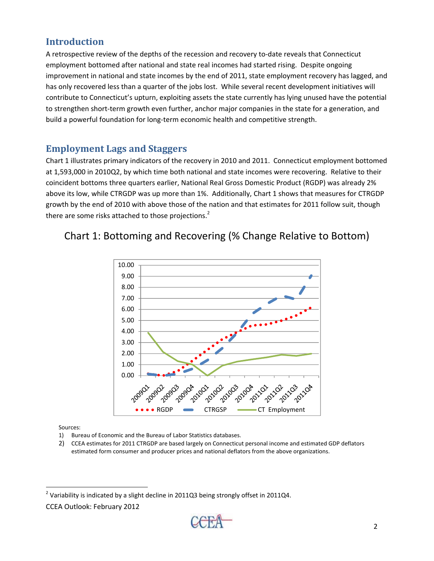# **Introduction**

A retrospective review of the depths of the recession and recovery to-date reveals that Connecticut employment bottomed after national and state real incomes had started rising. Despite ongoing improvement in national and state incomes by the end of 2011, state employment recovery has lagged, and has only recovered less than a quarter of the jobs lost. While several recent development initiatives will contribute to Connecticut's upturn, exploiting assets the state currently has lying unused have the potential to strengthen short-term growth even further, anchor major companies in the state for a generation, and build a powerful foundation for long‐term economic health and competitive strength.

# **Employment Lags and Staggers**

Chart 1 illustrates primary indicators of the recovery in 2010 and 2011. Connecticut employment bottomed at 1,593,000 in 2010Q2, by which time both national and state incomes were recovering. Relative to their coincident bottoms three quarters earlier, National Real Gross Domestic Product (RGDP) was already 2% above its low, while CTRGDP was up more than 1%. Additionally, Chart 1 shows that measures for CTRGDP growth by the end of 2010 with above those of the nation and that estimates for 2011 follow suit, though there are some risks attached to those projections.<sup>2</sup>

# Chart 1: Bottoming and Recovering (% Change Relative to Bottom)



Sources:

- 1) Bureau of Economic and the Bureau of Labor Statistics databases.
- 2) CCEA estimates for 2011 CTRGDP are based largely on Connecticut personal income and estimated GDP deflators estimated form consumer and producer prices and national deflators from the above organizations.



 $^{2}$  Variability is indicated by a slight decline in 2011Q3 being strongly offset in 2011Q4.

CCEA Outlook: February 2012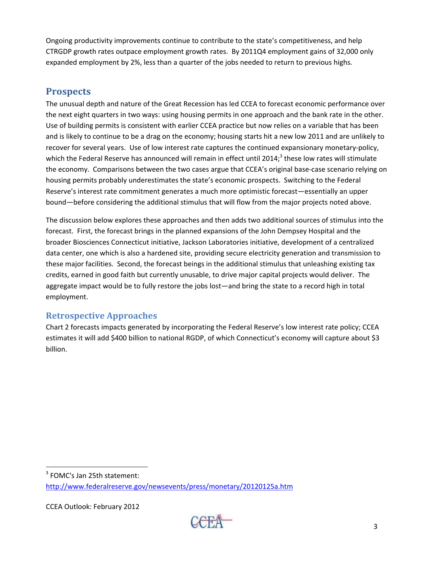Ongoing productivity improvements continue to contribute to the state's competitiveness, and help CTRGDP growth rates outpace employment growth rates. By 2011Q4 employment gains of 32,000 only expanded employment by 2%, less than a quarter of the jobs needed to return to previous highs.

#### **Prospects**

The unusual depth and nature of the Great Recession has led CCEA to forecast economic performance over the next eight quarters in two ways: using housing permits in one approach and the bank rate in the other. Use of building permits is consistent with earlier CCEA practice but now relies on a variable that has been and is likely to continue to be a drag on the economy; housing starts hit a new low 2011 and are unlikely to recover for several years. Use of low interest rate captures the continued expansionary monetary-policy, which the Federal Reserve has announced will remain in effect until 2014;<sup>3</sup> these low rates will stimulate the economy. Comparisons between the two cases argue that CCEA's original base-case scenario relying on housing permits probably underestimates the state's economic prospects. Switching to the Federal Reserve's interest rate commitment generates a much more optimistic forecast—essentially an upper bound—before considering the additional stimulus that will flow from the major projects noted above.

The discussion below explores these approaches and then adds two additional sources of stimulus into the forecast. First, the forecast brings in the planned expansions of the John Dempsey Hospital and the broader Biosciences Connecticut initiative, Jackson Laboratories initiative, development of a centralized data center, one which is also a hardened site, providing secure electricity generation and transmission to these major facilities. Second, the forecast beings in the additional stimulus that unleashing existing tax credits, earned in good faith but currently unusable, to drive major capital projects would deliver. The aggregate impact would be to fully restore the jobs lost—and bring the state to a record high in total employment.

#### **Retrospective Approaches**

Chart 2 forecasts impacts generated by incorporating the Federal Reserve's low interest rate policy; CCEA estimates it will add \$400 billion to national RGDP, of which Connecticut's economy will capture about \$3 billion.

<sup>3</sup> FOMC's Jan 25th statement: http://www.federalreserve.gov/newsevents/press/monetary/20120125a.htm

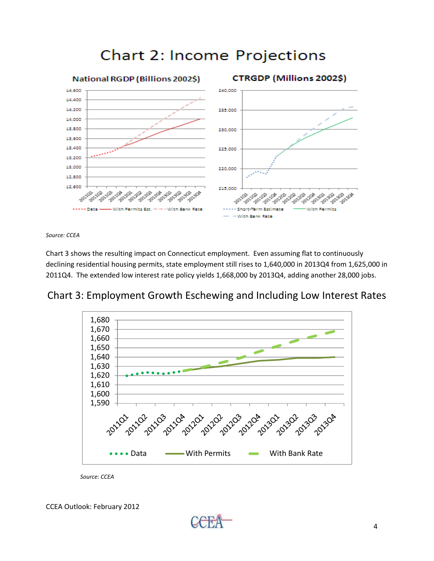

# **Chart 2: Income Projections**

*Source: CCEA*

Chart 3 shows the resulting impact on Connecticut employment. Even assuming flat to continuously declining residential housing permits, state employment still rises to 1,640,000 in 2013Q4 from 1,625,000 in 2011Q4. The extended low interest rate policy yields 1,668,000 by 2013Q4, adding another 28,000 jobs.





*Source: CCEA*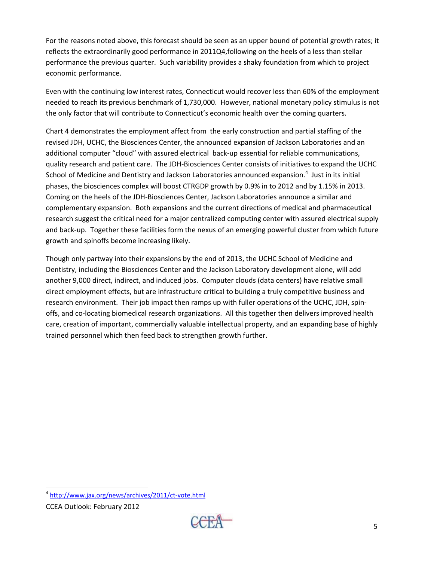For the reasons noted above, this forecast should be seen as an upper bound of potential growth rates; it reflects the extraordinarily good performance in 2011Q4,following on the heels of a less than stellar performance the previous quarter. Such variability provides a shaky foundation from which to project economic performance.

Even with the continuing low interest rates, Connecticut would recover less than 60% of the employment needed to reach its previous benchmark of 1,730,000. However, national monetary policy stimulus is not the only factor that will contribute to Connecticut's economic health over the coming quarters.

Chart 4 demonstrates the employment affect from the early construction and partial staffing of the revised JDH, UCHC, the Biosciences Center, the announced expansion of Jackson Laboratories and an additional computer "cloud" with assured electrical back-up essential for reliable communications, quality research and patient care. The JDH-Biosciences Center consists of initiatives to expand the UCHC School of Medicine and Dentistry and Jackson Laboratories announced expansion.<sup>4</sup> Just in its initial phases, the biosciences complex will boost CTRGDP growth by 0.9% in to 2012 and by 1.15% in 2013. Coming on the heels of the JDH-Biosciences Center, Jackson Laboratories announce a similar and complementary expansion. Both expansions and the current directions of medical and pharmaceutical research suggest the critical need for a major centralized computing center with assured electrical supply and back-up. Together these facilities form the nexus of an emerging powerful cluster from which future growth and spinoffs become increasing likely.

Though only partway into their expansions by the end of 2013, the UCHC School of Medicine and Dentistry, including the Biosciences Center and the Jackson Laboratory development alone, will add another 9,000 direct, indirect, and induced jobs. Computer clouds (data centers) have relative small direct employment effects, but are infrastructure critical to building a truly competitive business and research environment. Their job impact then ramps up with fuller operations of the UCHC, JDH, spinoffs, and co-locating biomedical research organizations. All this together then delivers improved health care, creation of important, commercially valuable intellectual property, and an expanding base of highly trained personnel which then feed back to strengthen growth further.

 $\overline{a}$ 

<sup>4</sup> http://www.jax.org/news/archives/2011/ct-vote.html

CCEA Outlook: February 2012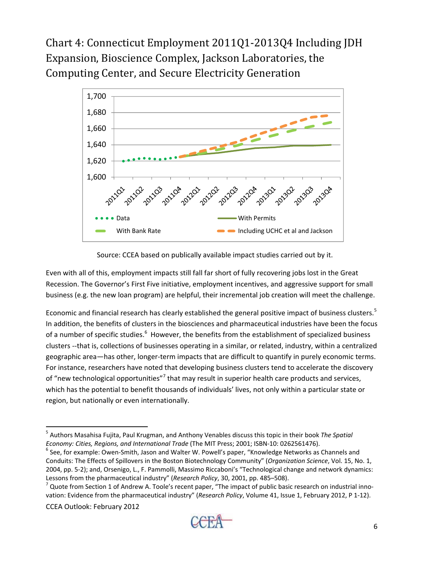Chart 4: Connecticut Employment 2011Q1-2013Q4 Including JDH Expansion, Bioscience Complex, Jackson Laboratories, the Computing Center, and Secure Electricity Generation



Source: CCEA based on publically available impact studies carried out by it.

Even with all of this, employment impacts still fall far short of fully recovering jobs lost in the Great Recession. The Governor's First Five initiative, employment incentives, and aggressive support for small business (e.g. the new loan program) are helpful, their incremental job creation will meet the challenge.

Economic and financial research has clearly established the general positive impact of business clusters.<sup>5</sup> In addition, the benefits of clusters in the biosciences and pharmaceutical industries have been the focus of a number of specific studies.<sup>6</sup> However, the benefits from the establishment of specialized business clusters --that is, collections of businesses operating in a similar, or related, industry, within a centralized geographic area—has other, longer-term impacts that are difficult to quantify in purely economic terms. For instance, researchers have noted that developing business clusters tend to accelerate the discovery of "new technological opportunities"<sup>7</sup> that may result in superior health care products and services, which has the potential to benefit thousands of individuals' lives, not only within a particular state or region, but nationally or even internationally.

CCEA Outlook: February 2012

 $\ddot{\phantom{a}}$ 5 Authors Masahisa Fujita, Paul Krugman, and Anthony Venables discuss this topic in their book *The Spatial Economy: Cities, Regions, and International Trade* (The MIT Press; 2001; ISBN-10: 0262561476). 6

 $^6$  See, for example: Owen-Smith, Jason and Walter W. Powell's paper, "Knowledge Networks as Channels and Conduits: The Effects of Spillovers in the Boston Biotechnology Community" (*Organization Science*, Vol. 15, No. 1, 2004, pp. 5-2); and, Orsenigo, L., F. Pammolli, Massimo Riccaboni's "Technological change and network dynamics: Lessons from the pharmaceutical industry" (*Research Policy*, 30, 2001, pp. 485–508). 7

 $^7$  Quote from Section 1 of Andrew A. Toole's recent paper, "The impact of public basic research on industrial innovation: Evidence from the pharmaceutical industry" (*Research Policy*, Volume 41, Issue 1, February 2012, P 1-12).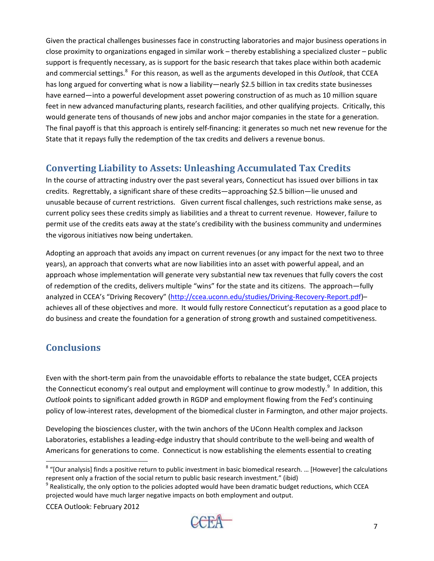Given the practical challenges businesses face in constructing laboratories and major business operations in close proximity to organizations engaged in similar work – thereby establishing a specialized cluster – public support is frequently necessary, as is support for the basic research that takes place within both academic and commercial settings.<sup>8</sup> For this reason, as well as the arguments developed in this *Outlook*, that CCEA has long argued for converting what is now a liability—nearly \$2.5 billion in tax credits state businesses have earned—into a powerful development asset powering construction of as much as 10 million square feet in new advanced manufacturing plants, research facilities, and other qualifying projects. Critically, this would generate tens of thousands of new jobs and anchor major companies in the state for a generation. The final payoff is that this approach is entirely self-financing: it generates so much net new revenue for the State that it repays fully the redemption of the tax credits and delivers a revenue bonus.

## **Converting Liability to Assets: Unleashing Accumulated Tax Credits**

In the course of attracting industry over the past several years, Connecticut has issued over billions in tax credits. Regrettably, a significant share of these credits—approaching \$2.5 billion—lie unused and unusable because of current restrictions. Given current fiscal challenges, such restrictions make sense, as current policy sees these credits simply as liabilities and a threat to current revenue. However, failure to permit use of the credits eats away at the state's credibility with the business community and undermines the vigorous initiatives now being undertaken.

Adopting an approach that avoids any impact on current revenues (or any impact for the next two to three years), an approach that converts what are now liabilities into an asset with powerful appeal, and an approach whose implementation will generate very substantial new tax revenues that fully covers the cost of redemption of the credits, delivers multiple "wins" for the state and its citizens. The approach—fully analyzed in CCEA's "Driving Recovery" (http://ccea.uconn.edu/studies/Driving‐Recovery‐Report.pdf)– achieves all of these objectives and more. It would fully restore Connecticut's reputation as a good place to do business and create the foundation for a generation of strong growth and sustained competitiveness.

# **Conclusions**

Even with the short-term pain from the unavoidable efforts to rebalance the state budget, CCEA projects the Connecticut economy's real output and employment will continue to grow modestly.<sup>9</sup> In addition, this *Outlook* points to significant added growth in RGDP and employment flowing from the Fed's continuing policy of low‐interest rates, development of the biomedical cluster in Farmington, and other major projects.

Developing the biosciences cluster, with the twin anchors of the UConn Health complex and Jackson Laboratories, establishes a leading-edge industry that should contribute to the well-being and wealth of Americans for generations to come. Connecticut is now establishing the elements essential to creating

CCEA Outlook: February 2012



 $8$  "[Our analysis] finds a positive return to public investment in basic biomedical research. ... [However] the calculations represent only a fraction of the social return to public basic research investment." (ibid)<br><sup>9</sup> Realistically, the only option to the policies adopted would have been dramatic budget reductions, which CCEA

projected would have much larger negative impacts on both employment and output.